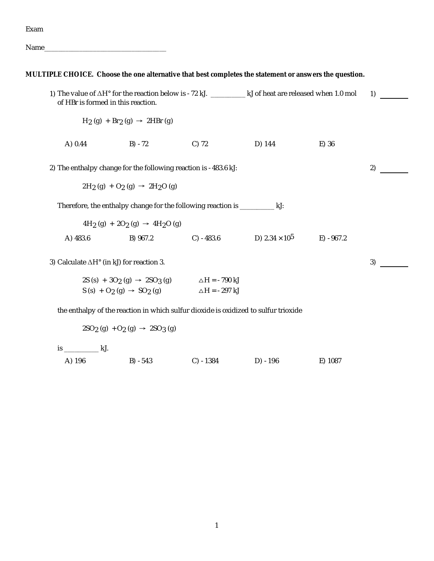Exam

Name\_\_\_\_\_\_\_\_\_\_\_\_\_\_\_\_\_\_\_\_\_\_\_\_\_\_\_\_\_\_\_\_\_\_\_

**MULTIPLE CHOICE. Choose the one alternative that best completes the statement or answers the question.**

1) The value of  $\Delta H^{\circ}$  for the reaction below is -72 kJ. \_\_\_\_\_\_\_\_\_ kJ of heat are released when 1.0 mol 1) \_\_\_\_\_\_ of HBr is formed in this reaction.  $H_2$  (g) + Br<sub>2</sub> (g)  $\rightarrow$  2HBr (g) A) 0.44 B) -72 C) 72 D) 144 E) 36

2) The enthalpy change for the following reaction is -483.6 kJ: 2) 22

 $2H_2(g) + O_2(g) \rightarrow 2H_2O(g)$ 

Therefore, the enthalpy change for the following reaction is \_\_\_\_\_\_\_\_\_\_ kJ:

$$
4H_2(g) + 2O_2(g) \rightarrow 4H_2O(g)
$$
  
\n(A) 483.6  
\n(B) 967.2  
\n(C) -483.6  
\n(D) 2.34 × 10<sup>5</sup>  
\n(E) -967.2

3) Calculate  $\Delta H^{\circ}$  (in kJ) for reaction 3.  $\hspace{1.5cm}$  3)

| $2S (s) + 3O_2 (q) \rightarrow 2SO_3 (q)$ | $\triangle H = -790$ kJ |
|-------------------------------------------|-------------------------|
| $S (s) + O_2 (q) \rightarrow SO_2 (q)$    | $\triangle H = -297$ kJ |

the enthalpy of the reaction in which sulfur dioxide is oxidized to sulfur trioxide

$$
2SO_2(g) + O_2(g) \rightarrow 2SO_3(g)
$$

is \_\_\_\_\_\_\_\_\_\_ kJ. A) 196 B) -543 C) -1384 D) -196 E) 1087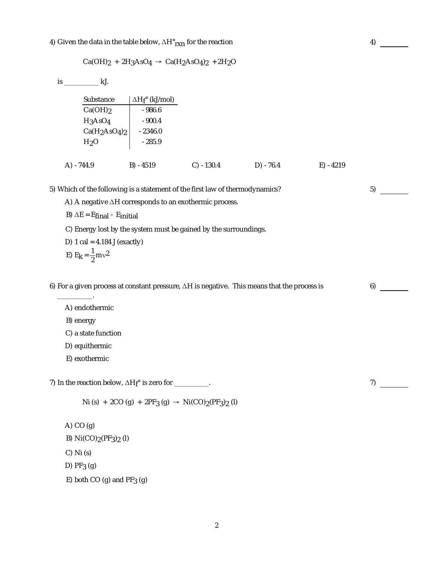4) Given the data in the table below,  $\Delta H^{\circ}$  for the reaction  $\qquad \qquad \qquad$  4)

$$
Ca(OH)_2 + 2H_3AsO_4 \rightarrow Ca(H_2AsO_4)_2 + 2H_2O
$$
  
\nis Substance  $\triangle Hf^{\circ} (kJ/mol)$   
\n
$$
Ca(OH)_2
$$
\n
$$
-986.6
$$
\n
$$
H_3AsO_4
$$
\n
$$
-900.4
$$
\n
$$
Ca(H_2AsO_4)_2
$$
\n
$$
-2346.0
$$
\n
$$
H_2O
$$
\n
$$
-285.9
$$
\nA) -744.9\nB) -4519\nC) -130.4\nD) -76.4\nE) -4219

5) Which of the following is a statement of the first law of thermodynamics? 5)

A) A negative  $\Delta H$  corresponds to an exothermic process.

- B)  $\Delta E = E$ final Einitial
- C) Energy lost by the system must be gained by the surroundings.
- D)  $1$  cal = 4.184 J (exactly)

$$
E) E_K = \frac{1}{2}mv^2
$$

6) For a given process at constant pressure,  $\Delta H$  is negative. This means that the process is 6)

```
A) endothermic
```
B) energy

\_\_\_\_\_\_\_\_\_\_.

- C) a state function
- D) equithermic
- E) exothermic

7) In the reaction below,  $\Delta H_f^{\circ}$  is zero for \_\_\_\_\_\_\_\_\_.

Ni (s) + 2CO (g) + 2PF<sub>3</sub> (g)  $\rightarrow$  Ni(CO)<sub>2</sub>(PF<sub>3</sub>)<sub>2</sub> (l)

A) CO (g)

- B)  $Ni(CO)_{2}(PF_{3})_{2}$  (I)
- C) Ni (s)

D) PF3 (g)

E) both CO  $(g)$  and PF $3$   $(g)$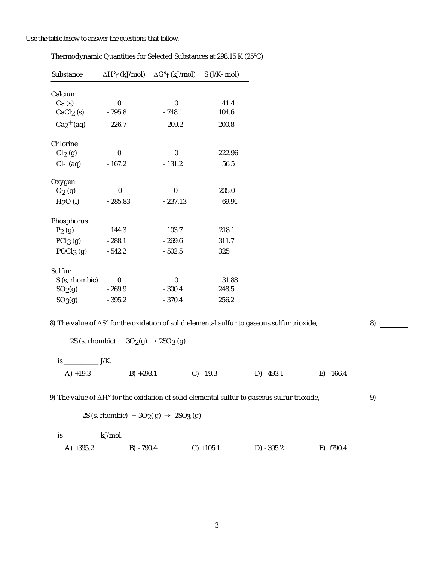*Use the table below to answer the questions that follow.*

| Substance                  | $\Delta H^{\circ}$ f (kJ/mol)                    | $\Delta G^\circ$ f (kJ/mol) | S (J/K-mol)  |                                                                                                            |              |    |
|----------------------------|--------------------------------------------------|-----------------------------|--------------|------------------------------------------------------------------------------------------------------------|--------------|----|
| Calcium                    |                                                  |                             |              |                                                                                                            |              |    |
| Ca(s)                      | $\pmb{0}$                                        | $\pmb{0}$                   | 41.4         |                                                                                                            |              |    |
| CaCl <sub>2</sub> (s)      | $-795.8$                                         | $-748.1$                    | 104.6        |                                                                                                            |              |    |
| $Ca2+ (aq)$                | 226.7                                            | 209.2                       | 200.8        |                                                                                                            |              |    |
| Chlorine                   |                                                  |                             |              |                                                                                                            |              |    |
| Cl <sub>2</sub> (g)        | $\pmb{0}$                                        | $\pmb{0}$                   | 222.96       |                                                                                                            |              |    |
| $Cl - (aq)$                | $-167.2$                                         | $-131.2$                    | 56.5         |                                                                                                            |              |    |
| Oxygen                     |                                                  |                             |              |                                                                                                            |              |    |
| O <sub>2</sub> (g)         | $\pmb{0}$                                        | $\pmb{0}$                   | 205.0        |                                                                                                            |              |    |
| $H2O$ (I)                  | $-285.83$                                        | $-237.13$                   | 69.91        |                                                                                                            |              |    |
| Phosphorus                 |                                                  |                             |              |                                                                                                            |              |    |
| $P_2(g)$                   | 144.3                                            | 103.7                       | 218.1        |                                                                                                            |              |    |
| PCI <sub>3</sub> (g)       | $-288.1$                                         | $-269.6$                    | 311.7        |                                                                                                            |              |    |
| POC $l_3$ (g)              | $-542.2$                                         | $-502.5$                    | 325          |                                                                                                            |              |    |
| Sulfur                     |                                                  |                             |              |                                                                                                            |              |    |
| S (s, rhombic)             | $\pmb{0}$                                        | $\pmb{0}$                   | 31.88        |                                                                                                            |              |    |
| SO <sub>2</sub> (g)        | $-269.9$                                         | $-300.4$                    | 248.5        |                                                                                                            |              |    |
| SO <sub>3</sub> (g)        | $-395.2$                                         | $-370.4$                    | 256.2        |                                                                                                            |              |    |
|                            |                                                  |                             |              | 8) The value of ∆S° for the oxidation of solid elemental sulfur to gaseous sulfur trioxide,                |              | 8) |
|                            | 2S (s, rhombic) + $3O_2(g) \rightarrow 2SO_3(g)$ |                             |              |                                                                                                            |              |    |
|                            |                                                  |                             |              |                                                                                                            |              |    |
| $is$ $yK$ .                |                                                  |                             |              |                                                                                                            |              |    |
| A) $+19.3$                 | $B) + 493.1$                                     |                             | $C) - 19.3$  | $D) - 493.1$                                                                                               | $E) - 166.4$ |    |
|                            |                                                  |                             |              | 9) The value of $\Delta H^{\circ}$ for the oxidation of solid elemental sulfur to gaseous sulfur trioxide, |              | 9) |
|                            |                                                  |                             |              |                                                                                                            |              |    |
|                            | 2S (s, rhombic) + $3O_2(g) \rightarrow 2SO_3(g)$ |                             |              |                                                                                                            |              |    |
| is _______________ kJ/mol. |                                                  |                             |              |                                                                                                            |              |    |
| A) $+395.2$                | $B) - 790.4$                                     |                             | $C) + 105.1$ | $D) - 395.2$                                                                                               | $E) + 790.4$ |    |

Thermodynamic Quantities for Selected Substances at 298.15 K (25°C)